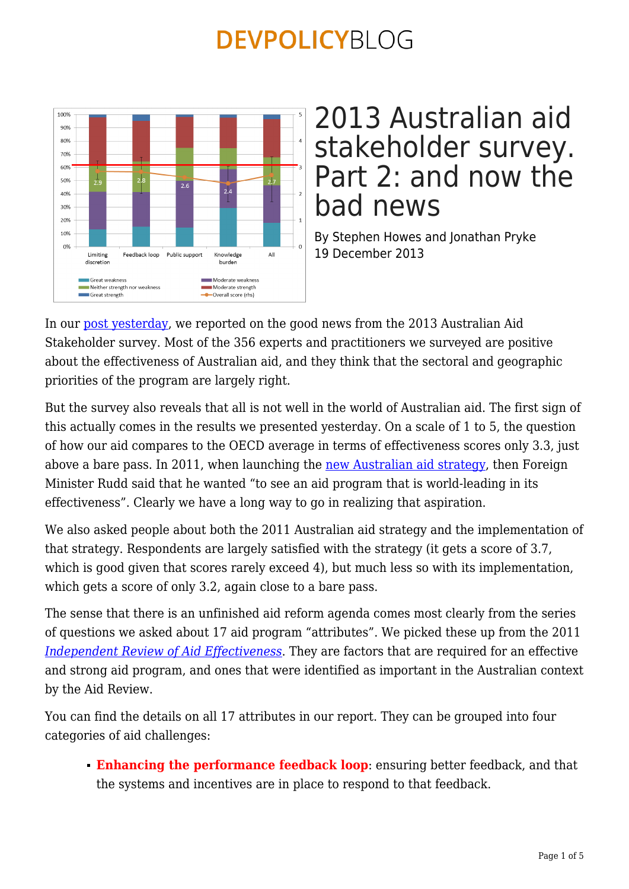

### 2013 Australian aid stakeholder survey. Part 2: and now the bad news

By Stephen Howes and Jonathan Pryke 19 December 2013

In our [post yesterday](https://devpolicy.org/unfinished-business-key-to-australias-aid-shake-up-20131213/), we reported on the good news from the 2013 Australian Aid Stakeholder survey. Most of the 356 experts and practitioners we surveyed are positive about the effectiveness of Australian aid, and they think that the sectoral and geographic priorities of the program are largely right.

But the survey also reveals that all is not well in the world of Australian aid. The first sign of this actually comes in the results we presented yesterday. On a scale of 1 to 5, the question of how our aid compares to the OECD average in terms of effectiveness scores only 3.3, just above a bare pass. In 2011, when launching the [new Australian aid strategy,](http://aid.dfat.gov.au/publications/pages/5621_9774_1073_3040_2380.aspx) then Foreign Minister Rudd said that he wanted "to see an aid program that is world-leading in its effectiveness". Clearly we have a long way to go in realizing that aspiration.

We also asked people about both the 2011 Australian aid strategy and the implementation of that strategy. Respondents are largely satisfied with the strategy (it gets a score of 3.7, which is good given that scores rarely exceed 4), but much less so with its implementation, which gets a score of only 3.2, again close to a bare pass.

The sense that there is an unfinished aid reform agenda comes most clearly from the series of questions we asked about 17 aid program "attributes". We picked these up from the 2011 *[Independent Review of Aid Effectiveness](http://www.aidreview.gov.au/report/)*. They are factors that are required for an effective and strong aid program, and ones that were identified as important in the Australian context by the Aid Review.

You can find the details on all 17 attributes in our report. They can be grouped into four categories of aid challenges:

**Enhancing the performance feedback loop**: ensuring better feedback, and that the systems and incentives are in place to respond to that feedback.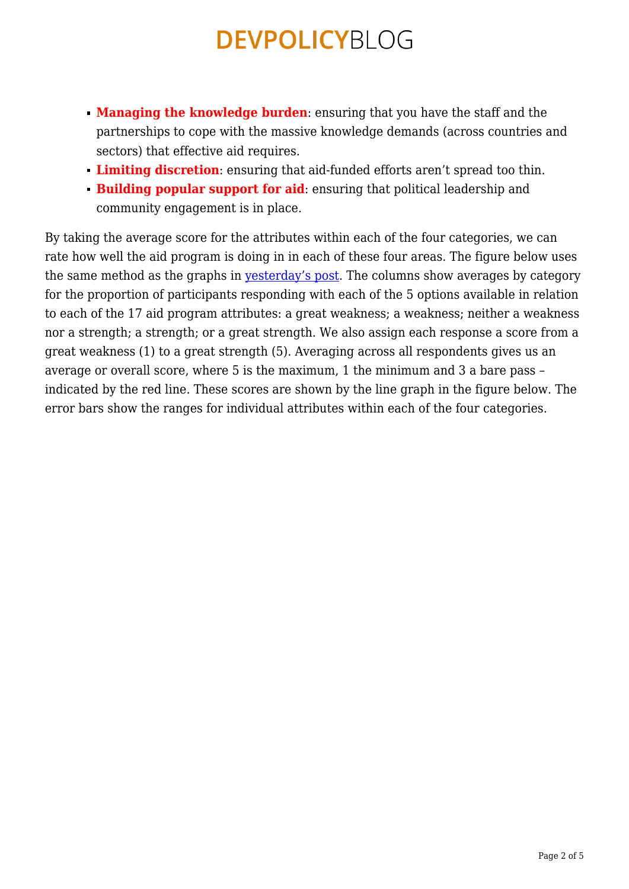- **Managing the knowledge burden**: ensuring that you have the staff and the partnerships to cope with the massive knowledge demands (across countries and sectors) that effective aid requires.
- **Limiting discretion**: ensuring that aid-funded efforts aren't spread too thin.
- **Building popular support for aid:** ensuring that political leadership and community engagement is in place.

By taking the average score for the attributes within each of the four categories, we can rate how well the aid program is doing in in each of these four areas. The figure below uses the same method as the graphs in [yesterday's post](https://devpolicy.org/unfinished-business-key-to-australias-aid-shake-up-20131213/). The columns show averages by category for the proportion of participants responding with each of the 5 options available in relation to each of the 17 aid program attributes: a great weakness; a weakness; neither a weakness nor a strength; a strength; or a great strength. We also assign each response a score from a great weakness (1) to a great strength (5). Averaging across all respondents gives us an average or overall score, where 5 is the maximum, 1 the minimum and 3 a bare pass – indicated by the red line. These scores are shown by the line graph in the figure below. The error bars show the ranges for individual attributes within each of the four categories.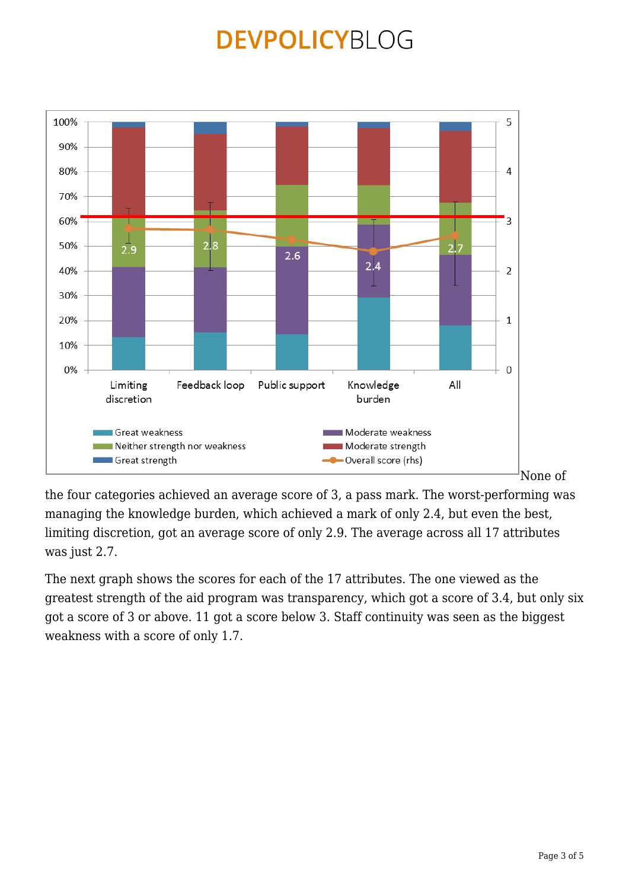

the four categories achieved an average score of 3, a pass mark. The worst-performing was managing the knowledge burden, which achieved a mark of only 2.4, but even the best, limiting discretion, got an average score of only 2.9. The average across all 17 attributes was just 2.7.

The next graph shows the scores for each of the 17 attributes. The one viewed as the greatest strength of the aid program was transparency, which got a score of 3.4, but only six got a score of 3 or above. 11 got a score below 3. Staff continuity was seen as the biggest weakness with a score of only 1.7.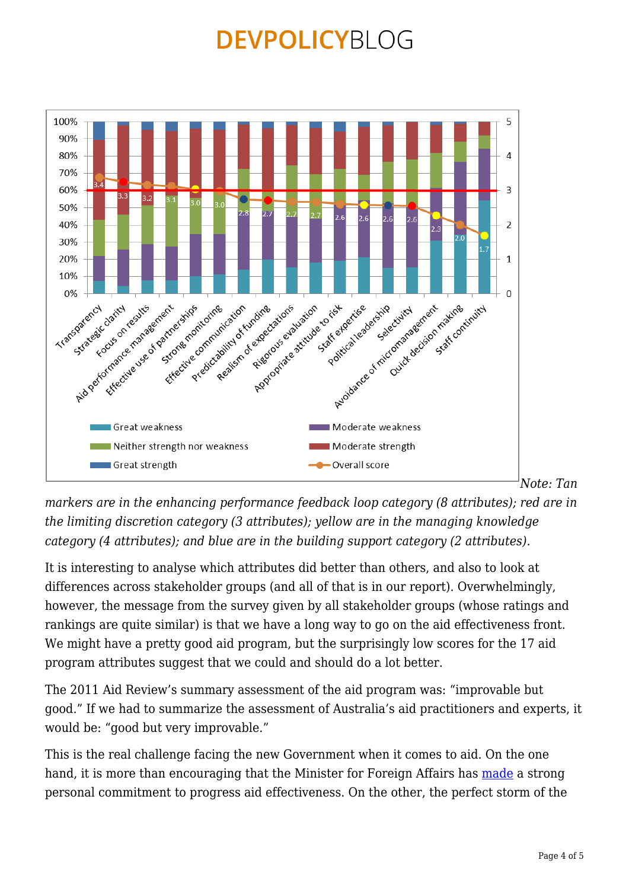

*markers are in the enhancing performance feedback loop category (8 attributes); red are in the limiting discretion category (3 attributes); yellow are in the managing knowledge category (4 attributes); and blue are in the building support category (2 attributes).*

It is interesting to analyse which attributes did better than others, and also to look at differences across stakeholder groups (and all of that is in our report). Overwhelmingly, however, the message from the survey given by all stakeholder groups (whose ratings and rankings are quite similar) is that we have a long way to go on the aid effectiveness front. We might have a pretty good aid program, but the surprisingly low scores for the 17 aid program attributes suggest that we could and should do a lot better.

The 2011 Aid Review's summary assessment of the aid program was: "improvable but good." If we had to summarize the assessment of Australia's aid practitioners and experts, it would be: "good but very improvable."

This is the real challenge facing the new Government when it comes to aid. On the one hand, it is more than encouraging that the Minister for Foreign Affairs has [made](https://devpolicy.org/bishop-on-australian-aid-20131107/) a strong personal commitment to progress aid effectiveness. On the other, the perfect storm of the